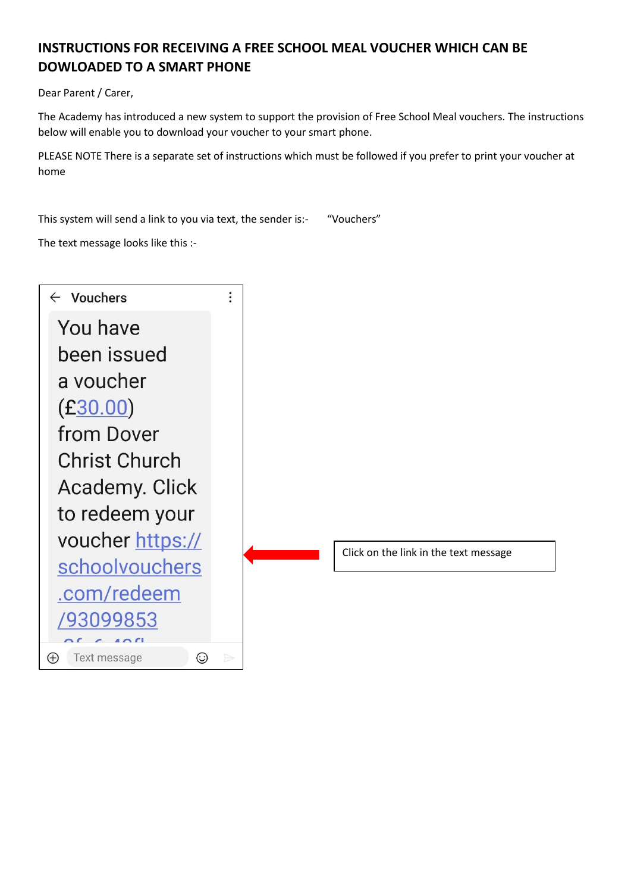## **INSTRUCTIONS FOR RECEIVING A FREE SCHOOL MEAL VOUCHER WHICH CAN BE DOWLOADED TO A SMART PHONE**

Dear Parent / Carer,

The Academy has introduced a new system to support the provision of Free School Meal vouchers. The instructions below will enable you to download your voucher to your smart phone.

PLEASE NOTE There is a separate set of instructions which must be followed if you prefer to print your voucher at home

This system will send a link to you via text, the sender is:- "Vouchers"

The text message looks like this :-

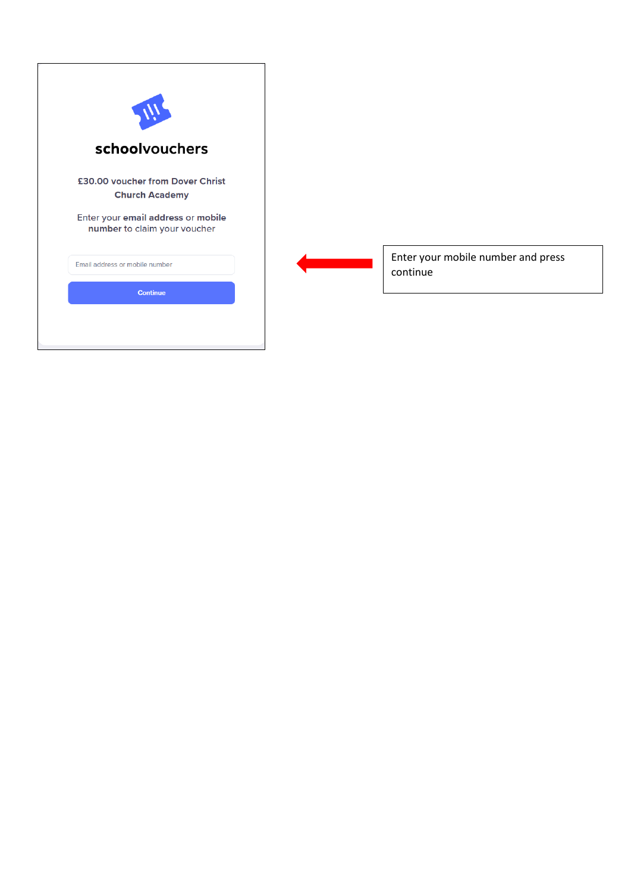

Enter your mobile number and press continue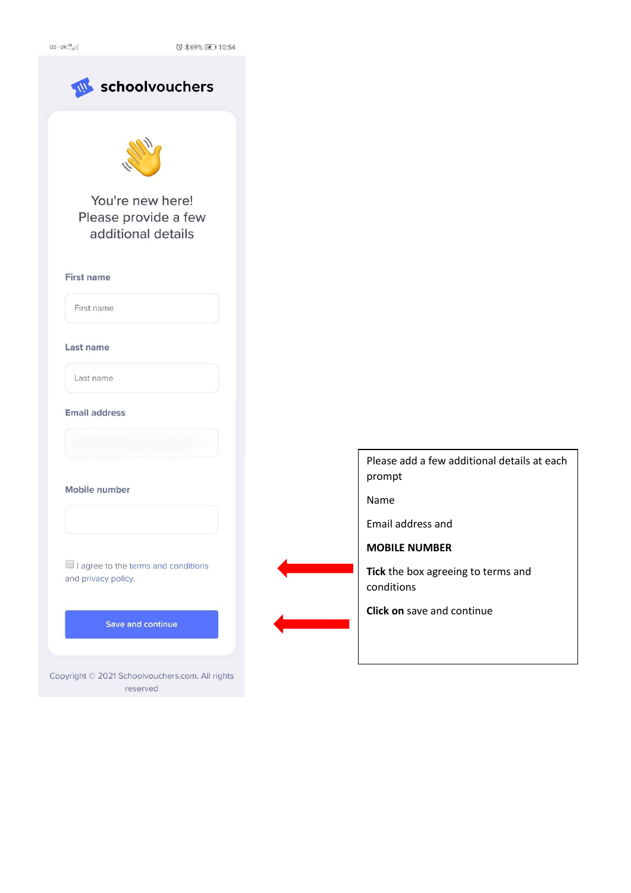$02 - UK_{\oplus 1}^{46}$ 

◎ \*69% ■ 10:54



Please add a few additional details at each prompt

Name

Email address and

**MOBILE NUMBER**

**Tick** the box agreeing to terms and conditions

**Click on** save and continue

reserved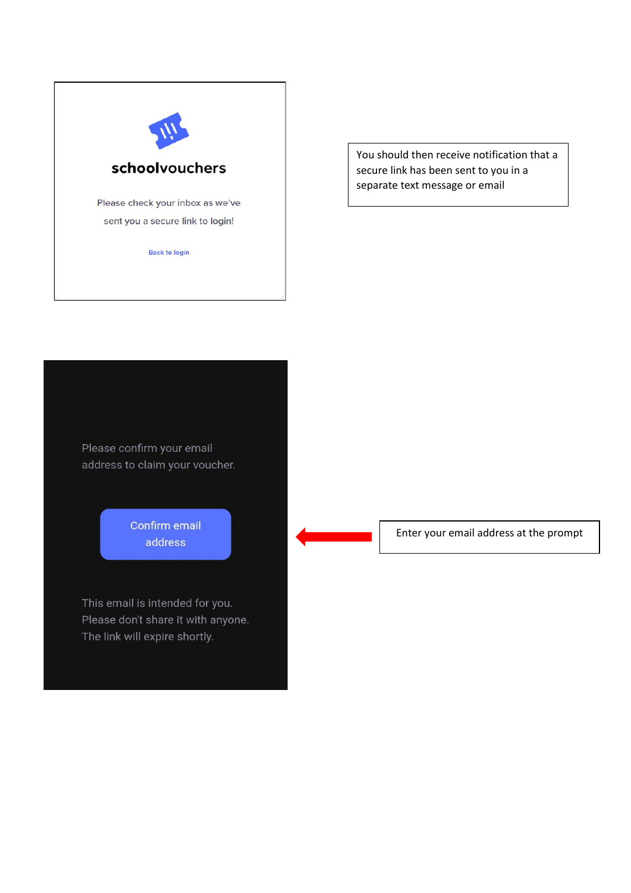

You should then receive notification that a secure link has been sent to you in a separate text message or email

Please confirm your email address to claim your voucher.

> Confirm email address

This email is intended for you. Please don't share it with anyone. The link will expire shortly.

Enter your email address at the prompt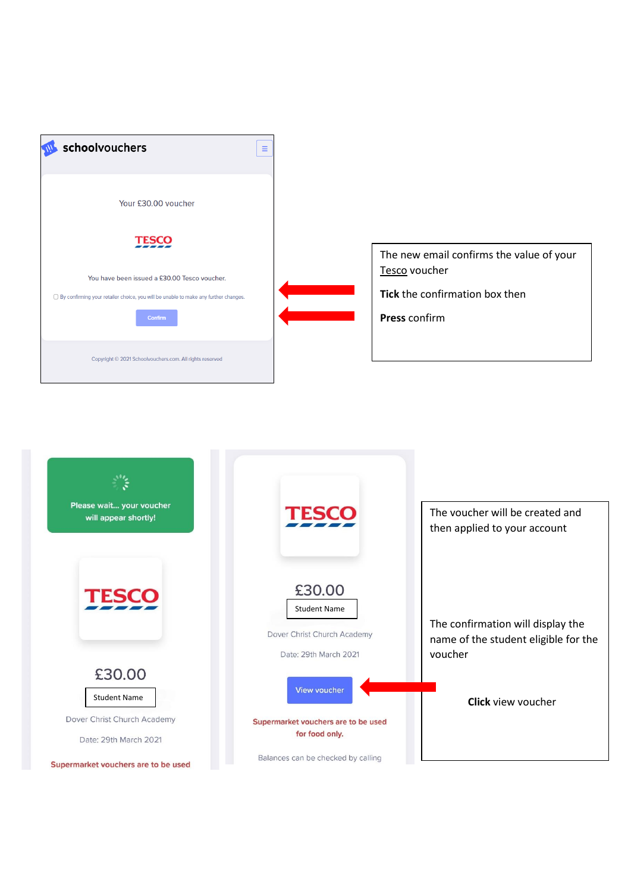

The new email confirms the value of your Tesco voucher

**Tick** the confirmation box then

**Press** confirm

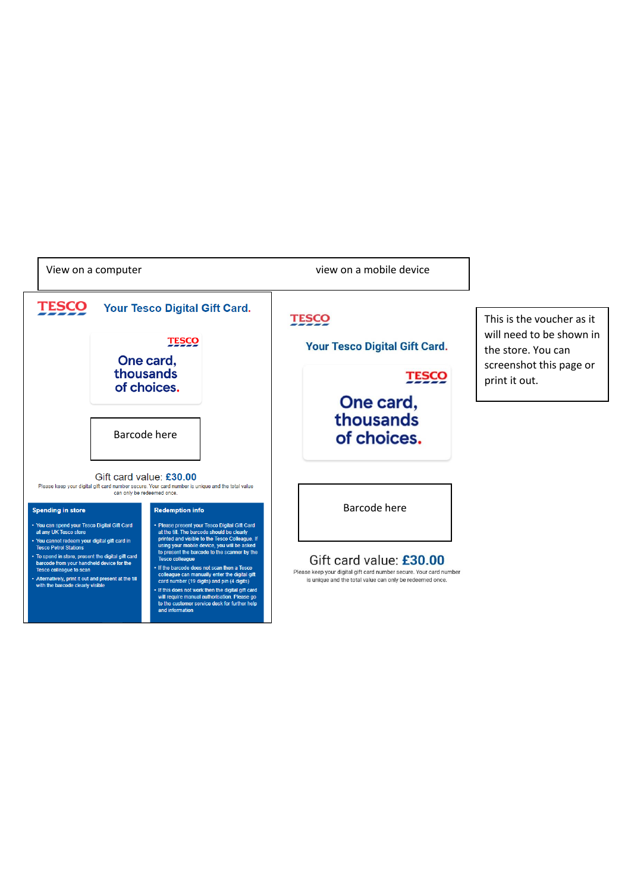